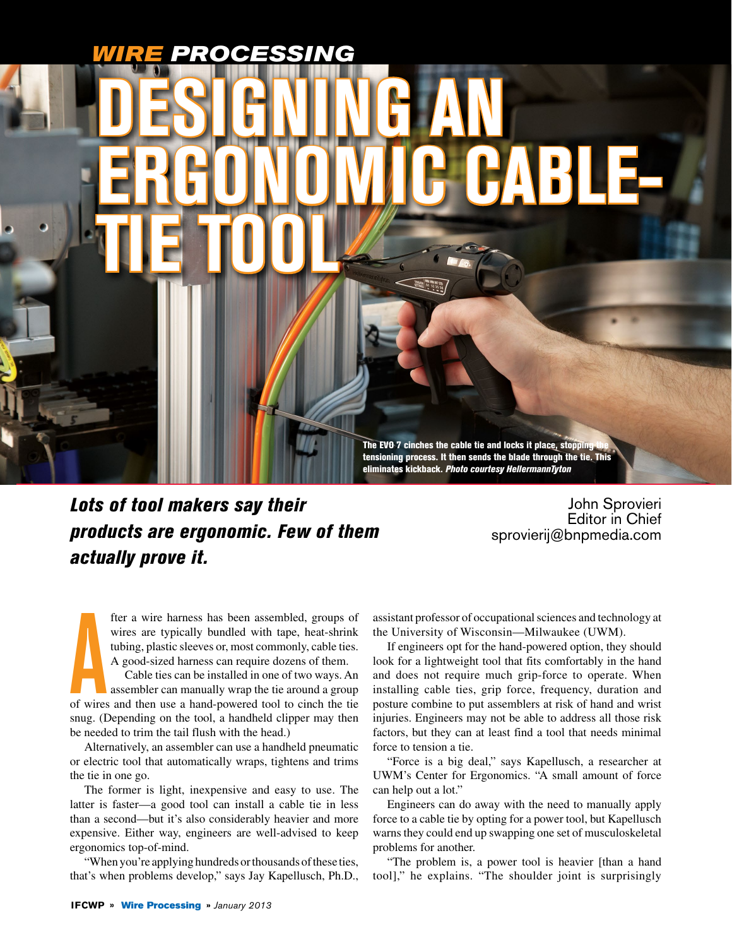# *WIRE PROCESSING*

**Tie Tool**

**Designing an** 

**Ergonomic Cable-**

The EVO 7 cinches the cable tie and locks it place, stopping tensioning process. It then sends the blade through the tie. This eliminates kickback. *Photo courtesy HellermannTyton*

*Lots of tool makers say their products are ergonomic. Few of them actually prove it.*

John Sprovieri Editor in Chief sprovierij@bnpmedia.com

fter a wire harness has been assembled, groups of wires are typically bundled with tape, heat-shrink tubing, plastic sleeves or, most commonly, cable ties. A good-sized harness can require dozens of them.

fter a wire harness has been assembled, groups of<br>wires are typically bundled with tape, heat-shrink<br>tubing, plastic sleeves or, most commonly, cable ties.<br>A good-sized harness can require dozens of them.<br>Cable ties can be Cable ties can be installed in one of two ways. An assembler can manually wrap the tie around a group snug. (Depending on the tool, a handheld clipper may then be needed to trim the tail flush with the head.)

Alternatively, an assembler can use a handheld pneumatic or electric tool that automatically wraps, tightens and trims the tie in one go.

The former is light, inexpensive and easy to use. The latter is faster—a good tool can install a cable tie in less than a second—but it's also considerably heavier and more expensive. Either way, engineers are well-advised to keep ergonomics top-of-mind.

"When you're applying hundreds or thousands of these ties, that's when problems develop," says Jay Kapellusch, Ph.D., assistant professor of occupational sciences and technology at the University of Wisconsin—Milwaukee (UWM).

If engineers opt for the hand-powered option, they should look for a lightweight tool that fits comfortably in the hand and does not require much grip-force to operate. When installing cable ties, grip force, frequency, duration and posture combine to put assemblers at risk of hand and wrist injuries. Engineers may not be able to address all those risk factors, but they can at least find a tool that needs minimal force to tension a tie.

"Force is a big deal," says Kapellusch, a researcher at UWM's Center for Ergonomics. "A small amount of force can help out a lot."

Engineers can do away with the need to manually apply force to a cable tie by opting for a power tool, but Kapellusch warns they could end up swapping one set of musculoskeletal problems for another.

"The problem is, a power tool is heavier [than a hand tool]," he explains. "The shoulder joint is surprisingly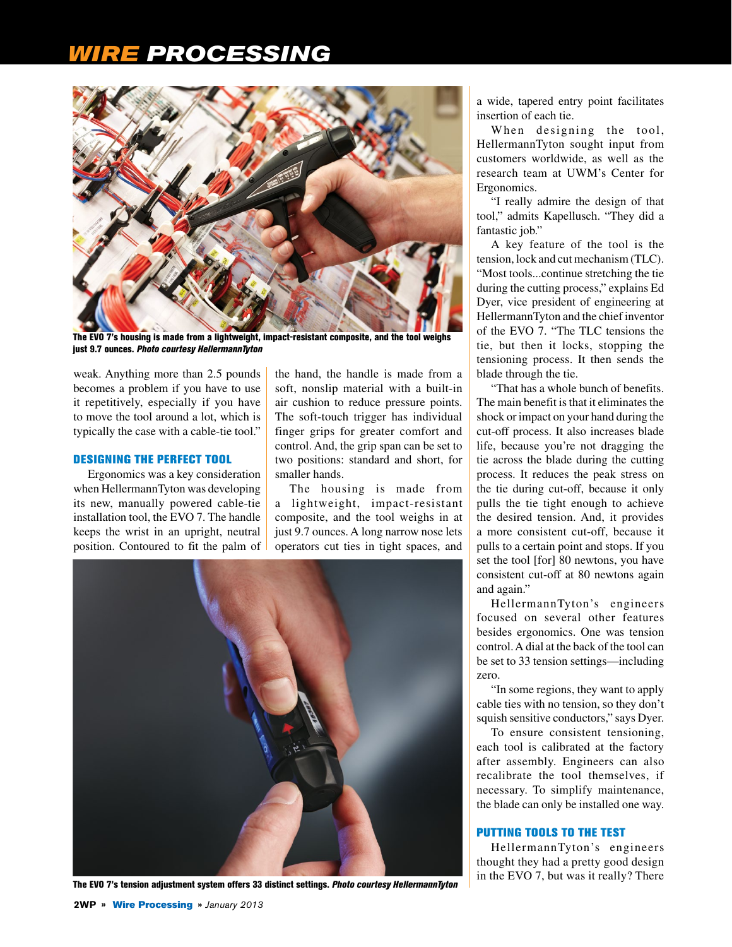### *RE PROCESSING*



The EVO 7's housing is made from a lightweight, impact-resistant composite, and the tool weighs just 9.7 ounces. *Photo courtesy HellermannTyton*

weak. Anything more than 2.5 pounds becomes a problem if you have to use it repetitively, especially if you have to move the tool around a lot, which is typically the case with a cable-tie tool."

#### Designing the Perfect Tool

Ergonomics was a key consideration when HellermannTyton was developing its new, manually powered cable-tie installation tool, the EVO 7. The handle keeps the wrist in an upright, neutral position. Contoured to fit the palm of

the hand, the handle is made from a soft, nonslip material with a built-in air cushion to reduce pressure points. The soft-touch trigger has individual finger grips for greater comfort and control. And, the grip span can be set to two positions: standard and short, for smaller hands.

The housing is made from a lightweight, impact-resistant composite, and the tool weighs in at just 9.7 ounces. A long narrow nose lets operators cut ties in tight spaces, and



The EVO 7's tension adjustment system offers 33 distinct settings. *Photo courtesy HellermannTyton*

a wide, tapered entry point facilitates insertion of each tie.

When designing the tool, HellermannTyton sought input from customers worldwide, as well as the research team at UWM's Center for Ergonomics.

"I really admire the design of that tool," admits Kapellusch. "They did a fantastic job."

A key feature of the tool is the tension, lock and cut mechanism (TLC). "Most tools...continue stretching the tie during the cutting process," explains Ed Dyer, vice president of engineering at HellermannTyton and the chief inventor of the EVO 7. "The TLC tensions the tie, but then it locks, stopping the tensioning process. It then sends the blade through the tie.

"That has a whole bunch of benefits. The main benefit is that it eliminates the shock or impact on your hand during the cut-off process. It also increases blade life, because you're not dragging the tie across the blade during the cutting process. It reduces the peak stress on the tie during cut-off, because it only pulls the tie tight enough to achieve the desired tension. And, it provides a more consistent cut-off, because it pulls to a certain point and stops. If you set the tool [for] 80 newtons, you have consistent cut-off at 80 newtons again and again."

HellermannTyton's engineers focused on several other features besides ergonomics. One was tension control. A dial at the back of the tool can be set to 33 tension settings—including zero.

"In some regions, they want to apply cable ties with no tension, so they don't squish sensitive conductors," says Dyer.

To ensure consistent tensioning, each tool is calibrated at the factory after assembly. Engineers can also recalibrate the tool themselves, if necessary. To simplify maintenance, the blade can only be installed one way.

#### Putting Tools to the Test

HellermannTyton's engineers thought they had a pretty good design in the EVO 7, but was it really? There